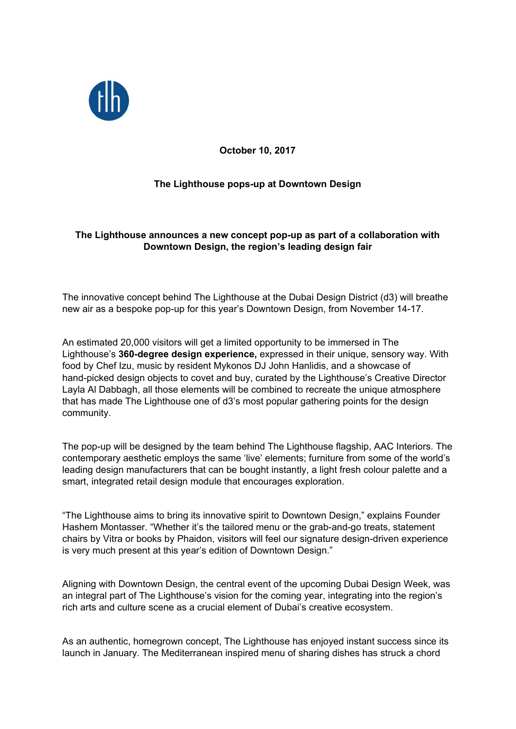

**October 10, 2017**

# **The Lighthouse pops-up at Downtown Design**

## **The Lighthouse announces a new concept pop-up as part of a collaboration with Downtown Design, the region's leading design fair**

The innovative concept behind The Lighthouse at the Dubai Design District (d3) will breathe new air as a bespoke pop-up for this year's Downtown Design, from November 14-17.

An estimated 20,000 visitors will get a limited opportunity to be immersed in The Lighthouse's **360-degree design experience,** expressed in their unique, sensory way. With food by Chef Izu, music by resident Mykonos DJ John Hanlidis, and a showcase of hand-picked design objects to covet and buy, curated by the Lighthouse's Creative Director Layla Al Dabbagh, all those elements will be combined to recreate the unique atmosphere that has made The Lighthouse one of d3's most popular gathering points for the design community.

The pop-up will be designed by the team behind The Lighthouse flagship, AAC Interiors. The contemporary aesthetic employs the same 'live' elements; furniture from some of the world's leading design manufacturers that can be bought instantly, a light fresh colour palette and a smart, integrated retail design module that encourages exploration.

"The Lighthouse aims to bring its innovative spirit to Downtown Design," explains Founder Hashem Montasser. "Whether it's the tailored menu or the grab-and-go treats, statement chairs by Vitra or books by Phaidon, visitors will feel our signature design-driven experience is very much present at this year's edition of Downtown Design."

Aligning with Downtown Design, the central event of the upcoming Dubai Design Week, was an integral part of The Lighthouse's vision for the coming year, integrating into the region's rich arts and culture scene as a crucial element of Dubai's creative ecosystem.

As an authentic, homegrown concept, The Lighthouse has enjoyed instant success since its launch in January. The Mediterranean inspired menu of sharing dishes has struck a chord